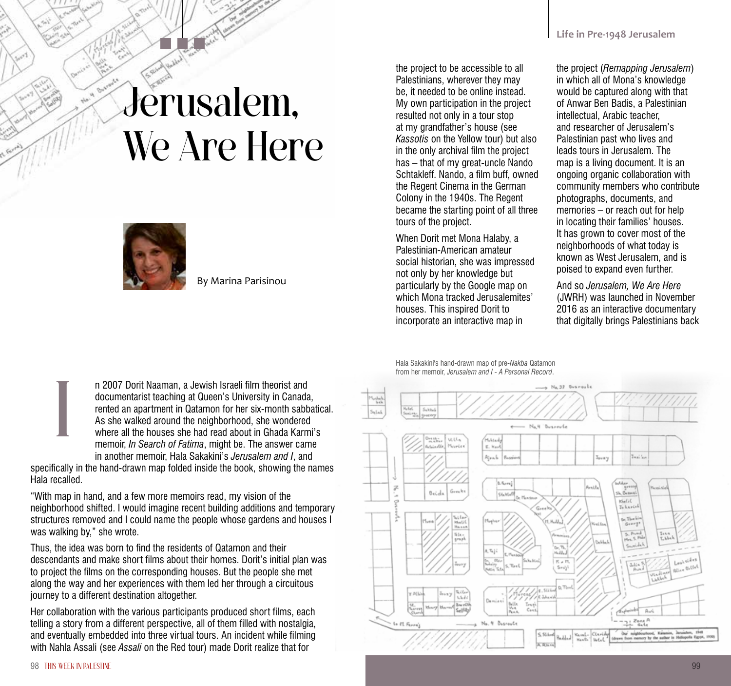## Jerusalem, We Are Here



By Marina Parisinou

the project to be accessible to all Palestinians, wherever they may be, it needed to be online instead. My own participation in the project resulted not only in a tour stop at my grandfather's house (see *Kassotis* on the Yellow tour) but also in the only archival film the project has – that of my great-uncle Nando Schtakleff. Nando, a film buff, owned the Regent Cinema in the German Colony in the 1940s. The Regent became the starting point of all three tours of the project.

When Dorit met Mona Halaby, a Palestinian-American amateur social historian, she was impressed not only by her knowledge but particularly by the Google map on which Mona tracked Jerusalemites' houses. This inspired Dorit to incorporate an interactive map in

the project (*Remapping Jerusalem*) in which all of Mona's knowledge would be captured along with that of Anwar Ben Badis, a Palestinian intellectual, Arabic teacher, and researcher of Jerusalem's Palestinian past who lives and leads tours in Jerusalem. The map is a living document. It is an ongoing organic collaboration with community members who contribute photographs, documents, and memories – or reach out for help in locating their families' houses. It has grown to cover most of the neighborhoods of what today is known as West Jerusalem, and is poised to expand even further.

And so *Jerusalem, We Are Here* (JWRH) was launched in November 2016 as an interactive documentary that digitally brings Palestinians back

n 2007 Dorit Naaman, a Jewish Israeli film theorist and documentarist teaching at Queen's University in Canada, rented an apartment in Qatamon for her six-month sabbatical. As she walked around the neighborhood, she wondered where all the houses she had read about in Ghada Karmi's memoir, *In Search of Fatima*, might be. The answer came in another memoir, Hala Sakakini's *Jerusalem and I*, and

specifically in the hand-drawn map folded inside the book, showing the names Hala recalled.

"With map in hand, and a few more memoirs read, my vision of the neighborhood shifted. I would imagine recent building additions and temporary structures removed and I could name the people whose gardens and houses I was walking by," she wrote.

Thus, the idea was born to find the residents of Qatamon and their descendants and make short films about their homes. Dorit's initial plan was to project the films on the corresponding houses. But the people she met along the way and her experiences with them led her through a circuitous journey to a different destination altogether.

Her collaboration with the various participants produced short films, each telling a story from a different perspective, all of them filled with nostalgia, and eventually embedded into three virtual tours. An incident while filming with Nahla Assali (see *Assali* on the Red tour) made Dorit realize that for

Hala Sakakini's hand-drawn map of pre-*Nakba* Qatamon from her memoir, *Jerusalem and I - A Personal Record*.



I